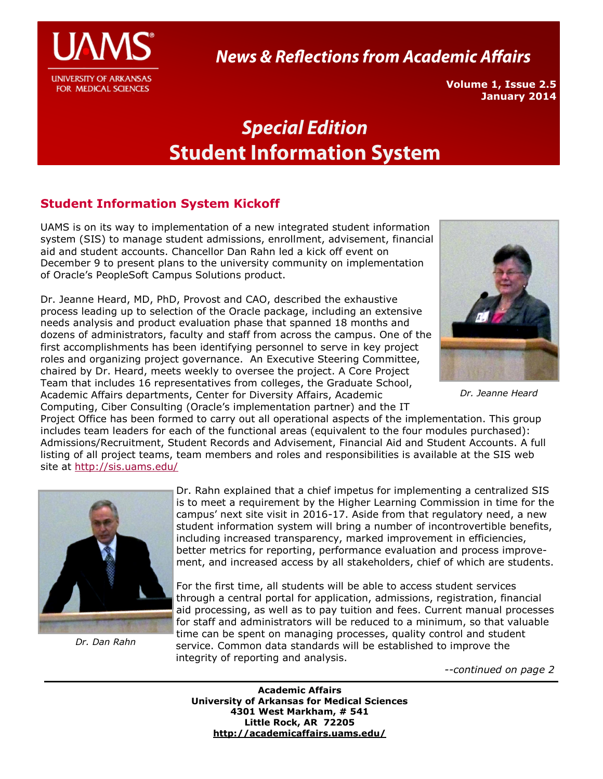

**News & Reflections from Academic Affairs** 

**Volume 1, Issue 2.5 January 2014**

# **Special Edition Student Information System**

# **Student Information System Kickoff**

UAMS is on its way to implementation of a new integrated student information system (SIS) to manage student admissions, enrollment, advisement, financial aid and student accounts. Chancellor Dan Rahn led a kick off event on December 9 to present plans to the university community on implementation of Oracle's PeopleSoft Campus Solutions product.

Dr. Jeanne Heard, MD, PhD, Provost and CAO, described the exhaustive process leading up to selection of the Oracle package, including an extensive needs analysis and product evaluation phase that spanned 18 months and dozens of administrators, faculty and staff from across the campus. One of the first accomplishments has been identifying personnel to serve in key project roles and organizing project governance. An Executive Steering Committee, chaired by Dr. Heard, meets weekly to oversee the project. A Core Project Team that includes 16 representatives from colleges, the Graduate School, Academic Affairs departments, Center for Diversity Affairs, Academic Computing, Ciber Consulting (Oracle's implementation partner) and the IT



*Dr. Jeanne Heard*

Project Office has been formed to carry out all operational aspects of the implementation. This group includes team leaders for each of the functional areas (equivalent to the four modules purchased): Admissions/Recruitment, Student Records and Advisement, Financial Aid and Student Accounts. A full listing of all project teams, team members and roles and responsibilities is available at the SIS web site at <http://sis.uams.edu/>



*Dr. Dan Rahn*

Dr. Rahn explained that a chief impetus for implementing a centralized SIS is to meet a requirement by the Higher Learning Commission in time for the campus' next site visit in 2016-17. Aside from that regulatory need, a new student information system will bring a number of incontrovertible benefits, including increased transparency, marked improvement in efficiencies, better metrics for reporting, performance evaluation and process improvement, and increased access by all stakeholders, chief of which are students.

For the first time, all students will be able to access student services through a central portal for application, admissions, registration, financial aid processing, as well as to pay tuition and fees. Current manual processes for staff and administrators will be reduced to a minimum, so that valuable time can be spent on managing processes, quality control and student service. Common data standards will be established to improve the integrity of reporting and analysis.

*--continued on page 2*

**Academic Affairs University of Arkansas for Medical Sciences 4301 West Markham, # 541 Little Rock, AR 72205 <http://academicaffairs.uams.edu/>**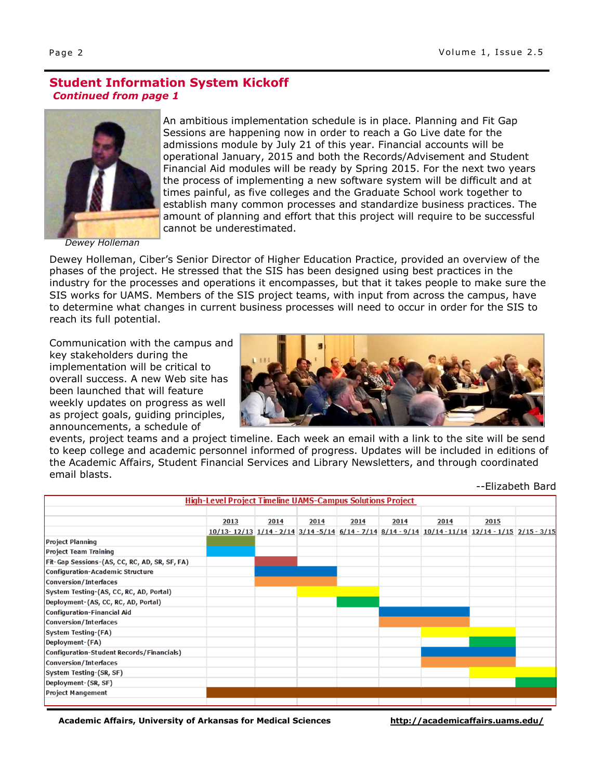## **Student Information System Kickoff** *Continued from page 1*



*Dewey Holleman*

An ambitious implementation schedule is in place. Planning and Fit Gap Sessions are happening now in order to reach a Go Live date for the admissions module by July 21 of this year. Financial accounts will be operational January, 2015 and both the Records/Advisement and Student Financial Aid modules will be ready by Spring 2015. For the next two years the process of implementing a new software system will be difficult and at times painful, as five colleges and the Graduate School work together to establish many common processes and standardize business practices. The amount of planning and effort that this project will require to be successful cannot be underestimated.

Dewey Holleman, Ciber's Senior Director of Higher Education Practice, provided an overview of the phases of the project. He stressed that the SIS has been designed using best practices in the industry for the processes and operations it encompasses, but that it takes people to make sure the SIS works for UAMS. Members of the SIS project teams, with input from across the campus, have to determine what changes in current business processes will need to occur in order for the SIS to reach its full potential.

Communication with the campus and key stakeholders during the implementation will be critical to overall success. A new Web site has been launched that will feature weekly updates on progress as well as project goals, guiding principles, announcements, a schedule of



events, project teams and a project timeline. Each week an email with a link to the site will be send to keep college and academic personnel informed of progress. Updates will be included in editions of the Academic Affairs, Student Financial Services and Library Newsletters, and through coordinated email blasts.

--Elizabeth Bard

| <b>High-Level Project Timeline UAMS-Campus Solutions Project</b> |      |      |      |      |      |                                                                                             |      |  |
|------------------------------------------------------------------|------|------|------|------|------|---------------------------------------------------------------------------------------------|------|--|
|                                                                  | 2013 | 2014 | 2014 | 2014 | 2014 | 2014                                                                                        | 2015 |  |
|                                                                  |      |      |      |      |      | <u>10/13-12/13 1/14-2/14 3/14-5/14 6/14-7/14 8/14-9/14 10/14-11/14 12/14-1/15 2/15-3/15</u> |      |  |
| <b>Project Planning</b>                                          |      |      |      |      |      |                                                                                             |      |  |
| <b>Project Team Training</b>                                     |      |      |      |      |      |                                                                                             |      |  |
| Fit-Gap Sessions-(AS, CC, RC, AD, SR, SF, FA)                    |      |      |      |      |      |                                                                                             |      |  |
| <b>Configuration-Academic Structure</b>                          |      |      |      |      |      |                                                                                             |      |  |
| <b>Conversion/Interfaces</b>                                     |      |      |      |      |      |                                                                                             |      |  |
| System Testing-(AS, CC, RC, AD, Portal)                          |      |      |      |      |      |                                                                                             |      |  |
| Deployment-(AS, CC, RC, AD, Portal)                              |      |      |      |      |      |                                                                                             |      |  |
| <b>Configuration-Financial Aid</b>                               |      |      |      |      |      |                                                                                             |      |  |
| <b>Conversion/Interfaces</b>                                     |      |      |      |      |      |                                                                                             |      |  |
| <b>System Testing-(FA)</b>                                       |      |      |      |      |      |                                                                                             |      |  |
| Deployment-(FA)                                                  |      |      |      |      |      |                                                                                             |      |  |
| Configuration-Student Records/Financials)                        |      |      |      |      |      |                                                                                             |      |  |
| <b>Conversion/Interfaces</b>                                     |      |      |      |      |      |                                                                                             |      |  |
| System Testing-(SR, SF)                                          |      |      |      |      |      |                                                                                             |      |  |
| Deployment-(SR, SF)                                              |      |      |      |      |      |                                                                                             |      |  |
| <b>Project Mangement</b>                                         |      |      |      |      |      |                                                                                             |      |  |
|                                                                  |      |      |      |      |      |                                                                                             |      |  |

**Academic Affairs, University of Arkansas for Medical Sciences <http://academicaffairs.uams.edu/>**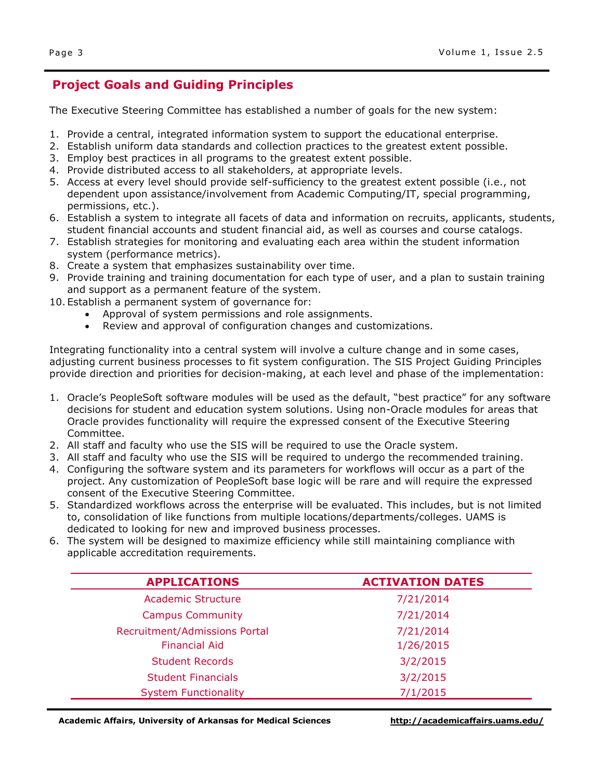# **Project Goals and Guiding Principles**

The Executive Steering Committee has established a number of goals for the new system:

- 1. Provide a central, integrated information system to support the educational enterprise.
- 2. Establish uniform data standards and collection practices to the greatest extent possible.
- 3. Employ best practices in all programs to the greatest extent possible.
- 4. Provide distributed access to all stakeholders, at appropriate levels.
- 5. Access at every level should provide self-sufficiency to the greatest extent possible (i.e., not dependent upon assistance/involvement from Academic Computing/IT, special programming, permissions, etc.).
- 6. Establish a system to integrate all facets of data and information on recruits, applicants, students, student financial accounts and student financial aid, as well as courses and course catalogs.
- 7. Establish strategies for monitoring and evaluating each area within the student information system (performance metrics).
- 8. Create a system that emphasizes sustainability over time.
- 9. Provide training and training documentation for each type of user, and a plan to sustain training and support as a permanent feature of the system.
- 10. Establish a permanent system of governance for:
	- Approval of system permissions and role assignments.
	- Review and approval of configuration changes and customizations.

Integrating functionality into a central system will involve a culture change and in some cases, adjusting current business processes to fit system configuration. The SIS Project Guiding Principles provide direction and priorities for decision-making, at each level and phase of the implementation:

- 1. Oracle's PeopleSoft software modules will be used as the default, "best practice" for any software decisions for student and education system solutions. Using non-Oracle modules for areas that Oracle provides functionality will require the expressed consent of the Executive Steering Committee.
- 2. All staff and faculty who use the SIS will be required to use the Oracle system.
- 3. All staff and faculty who use the SIS will be required to undergo the recommended training.
- 4. Configuring the software system and its parameters for workflows will occur as a part of the project. Any customization of PeopleSoft base logic will be rare and will require the expressed consent of the Executive Steering Committee.
- 5. Standardized workflows across the enterprise will be evaluated. This includes, but is not limited to, consolidation of like functions from multiple locations/departments/colleges. UAMS is dedicated to looking for new and improved business processes.
- 6. The system will be designed to maximize efficiency while still maintaining compliance with applicable accreditation requirements.

| <b>APPLICATIONS</b>           | <b>ACTIVATION DATES</b> |  |  |  |  |
|-------------------------------|-------------------------|--|--|--|--|
| <b>Academic Structure</b>     | 7/21/2014               |  |  |  |  |
| <b>Campus Community</b>       | 7/21/2014               |  |  |  |  |
| Recruitment/Admissions Portal | 7/21/2014               |  |  |  |  |
| <b>Financial Aid</b>          | 1/26/2015               |  |  |  |  |
| <b>Student Records</b>        | 3/2/2015                |  |  |  |  |
| <b>Student Financials</b>     | 3/2/2015                |  |  |  |  |
| <b>System Functionality</b>   | 7/1/2015                |  |  |  |  |

**Academic Affairs, University of Arkansas for Medical Sciences <http://academicaffairs.uams.edu/>**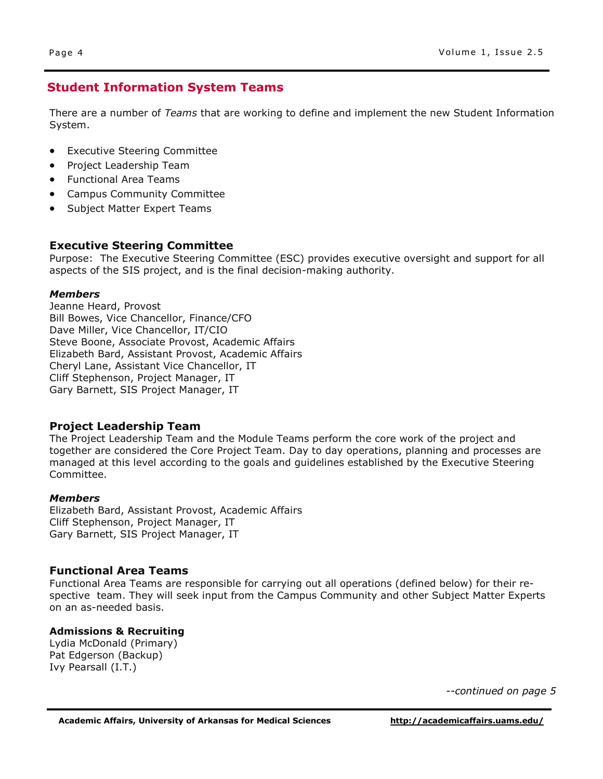# **Student Information System Teams**

There are a number of *Teams* that are working to define and implement the new Student Information System.

- [Executive Steering Committee](http://sis.uamsonline.com/teams/executive-steering-committee/)
- [Project Leadership Team](http://sis.uamsonline.com/teams/project-leadership-team/)
- [Functional Area Teams](http://sis.uamsonline.com/teams/functional-area-teams/)
- [Campus Community Committee](http://sis.uamsonline.com/teams/campus-community-committee/%20%E2%80%8E)
- [Subject Matter Expert Teams](http://sis.uamsonline.com/teams/subject-matter-expert-teams/%20%E2%80%8E)

#### **Executive Steering Committee**

Purpose: The Executive Steering Committee (ESC) provides executive oversight and support for all aspects of the SIS project, and is the final decision-making authority.

#### *Members*

Jeanne Heard, Provost Bill Bowes, Vice Chancellor, Finance/CFO Dave Miller, Vice Chancellor, IT/CIO Steve Boone, Associate Provost, Academic Affairs Elizabeth Bard, Assistant Provost, Academic Affairs Cheryl Lane, Assistant Vice Chancellor, IT Cliff Stephenson, Project Manager, IT Gary Barnett, SIS Project Manager, IT

#### **Project Leadership Team**

The Project Leadership Team and the Module Teams perform the core work of the project and together are considered the Core Project Team. Day to day operations, planning and processes are managed at this level according to the goals and guidelines established by the Executive Steering Committee.

#### *Members*

Elizabeth Bard, Assistant Provost, Academic Affairs Cliff Stephenson, Project Manager, IT Gary Barnett, SIS Project Manager, IT

#### **Functional Area Teams**

Functional Area Teams are responsible for carrying out all operations (defined below) for their respective team. They will seek input from the Campus Community and other Subject Matter Experts on an as-needed basis.

#### **Admissions & Recruiting**

Lydia McDonald (Primary) Pat Edgerson (Backup) Ivy Pearsall (I.T.)

*--continued on page 5*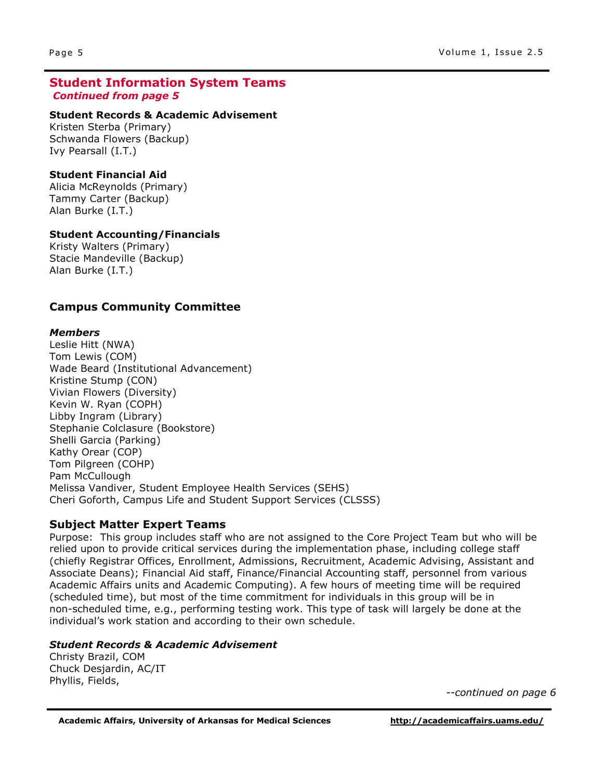#### **Student Information System Teams** *Continued from page 5*

#### **Student Records & Academic Advisement**

Kristen Sterba (Primary) Schwanda Flowers (Backup) Ivy Pearsall (I.T.)

#### **Student Financial Aid**

Alicia McReynolds (Primary) Tammy Carter (Backup) Alan Burke (I.T.)

#### **Student Accounting/Financials**

Kristy Walters (Primary) Stacie Mandeville (Backup) Alan Burke (I.T.)

### **Campus Community Committee**

#### *Members*

Leslie Hitt (NWA) Tom Lewis (COM) Wade Beard (Institutional Advancement) Kristine Stump (CON) Vivian Flowers (Diversity) Kevin W. Ryan (COPH) Libby Ingram (Library) Stephanie Colclasure (Bookstore) Shelli Garcia (Parking) Kathy Orear (COP) Tom Pilgreen (COHP) Pam McCullough Melissa Vandiver, Student Employee Health Services (SEHS) Cheri Goforth, Campus Life and Student Support Services (CLSSS)

#### **Subject Matter Expert Teams**

Purpose: This group includes staff who are not assigned to the Core Project Team but who will be relied upon to provide critical services during the implementation phase, including college staff (chiefly Registrar Offices, Enrollment, Admissions, Recruitment, Academic Advising, Assistant and Associate Deans); Financial Aid staff, Finance/Financial Accounting staff, personnel from various Academic Affairs units and Academic Computing). A few hours of meeting time will be required (scheduled time), but most of the time commitment for individuals in this group will be in non-scheduled time, e.g., performing testing work. This type of task will largely be done at the individual's work station and according to their own schedule.

#### *Student Records & Academic Advisement*

Christy Brazil, COM Chuck Desjardin, AC/IT Phyllis, Fields,

*--continued on page 6*